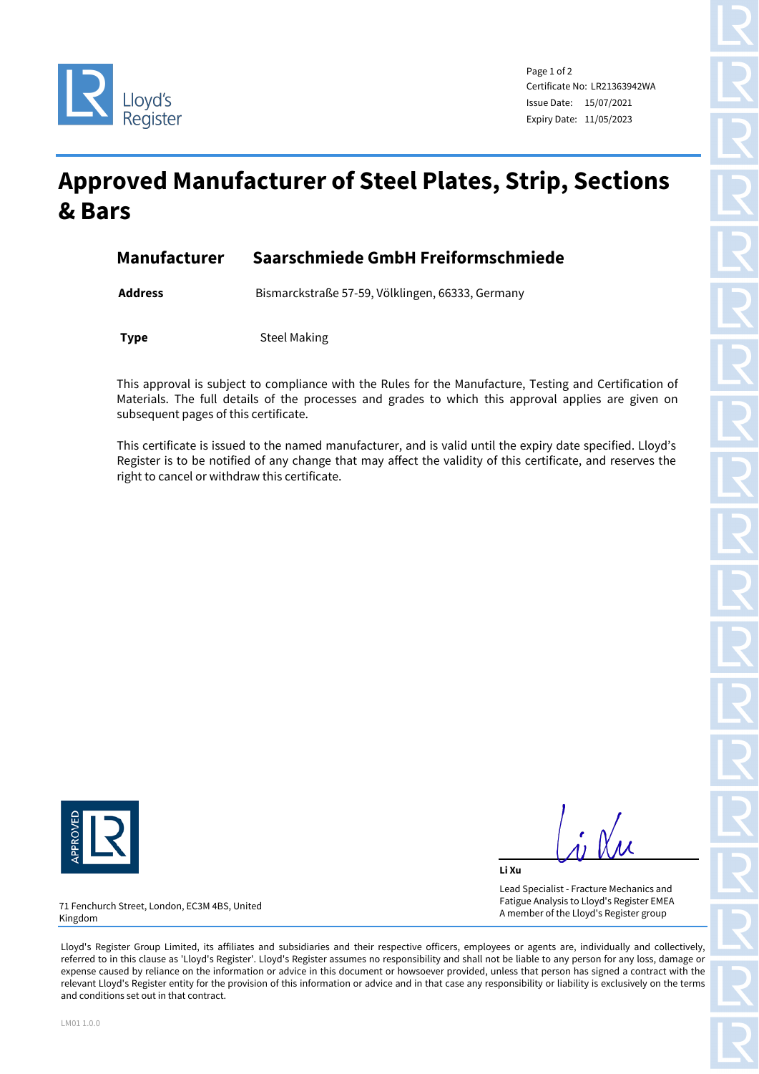



Page 1 of 2 Certificate No: LR21363942WA Issue Date: 15/07/2021 Expiry Date: 11/05/2023

## **Approved Manufacturer of Steel Plates, Strip, Sections & Bars**

| Manufacturer | Saarschmiede GmbH Freiformschmiede |  |
|--------------|------------------------------------|--|
|              |                                    |  |

**Address** Bismarckstraße 57-59, Völklingen, 66333, Germany

**Type** Steel Making

This approval is subject to compliance with the Rules for the Manufacture, Testing and Certification of Materials. The full details of the processes and grades to which this approval applies are given on subsequent pages of this certificate.

This certificate is issued to the named manufacturer, and is valid until the expiry date specified. Lloyd's Register is to be notified of any change that may affect the validity of this certificate, and reserves the right to cancel or withdraw this certificate.



**Li Xu** Lead Specialist - Fracture Mechanics and Fatigue Analysis to Lloyd's Register EMEA A member of the Lloyd's Register group

71 Fenchurch Street, London, EC3M 4BS, United Kingdom

Lloyd's Register Group Limited, its affiliates and subsidiaries and their respective officers, employees or agents are, individually and collectively, referred to in this clause as 'Lloyd's Register'. Lloyd's Register assumes no responsibility and shall not be liable to any person for any loss, damage or expense caused by reliance on the information or advice in this document or howsoever provided, unless that person has signed a contract with the relevant Lloyd's Register entity for the provision of this information or advice and in that case any responsibility or liability is exclusively on the terms and conditions set out in that contract.